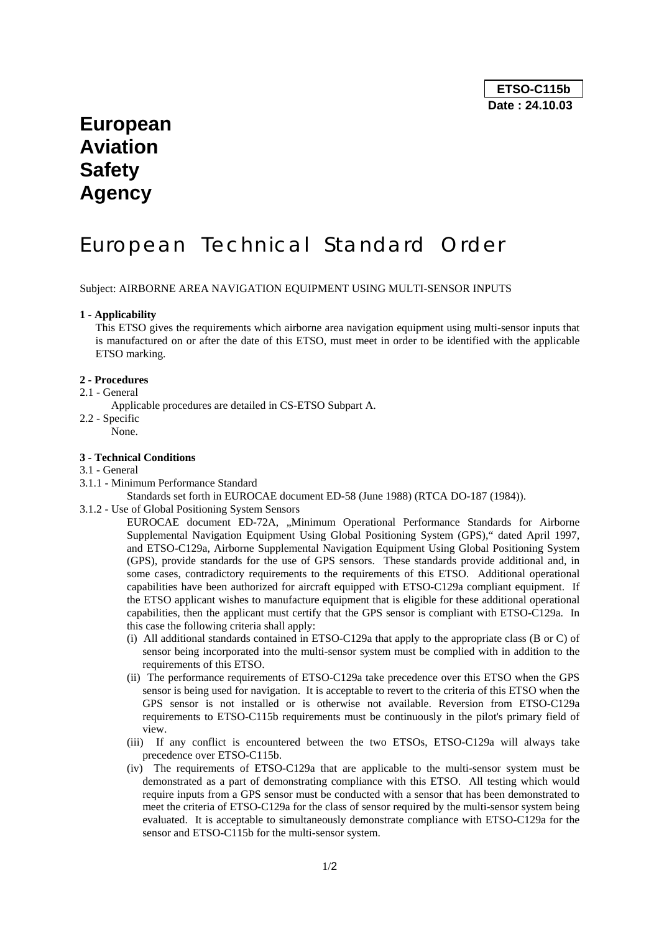## **European Aviation Safety Agency**

# European Technical Standard Order

Subject: AIRBORNE AREA NAVIGATION EQUIPMENT USING MULTI-SENSOR INPUTS

#### **1 - Applicability**

This ETSO gives the requirements which airborne area navigation equipment using multi-sensor inputs that is manufactured on or after the date of this ETSO, must meet in order to be identified with the applicable ETSO marking.

#### **2 - Procedures**

- 2.1 General
- Applicable procedures are detailed in CS-ETSO Subpart A.
- 2.2 Specific
	- None.

### **3 - Technical Conditions**

- 3.1 General
- 3.1.1 Minimum Performance Standard

Standards set forth in EUROCAE document ED-58 (June 1988) (RTCA DO-187 (1984)).

3.1.2 - Use of Global Positioning System Sensors

EUROCAE document ED-72A, "Minimum Operational Performance Standards for Airborne Supplemental Navigation Equipment Using Global Positioning System (GPS)," dated April 1997, and ETSO-C129a, Airborne Supplemental Navigation Equipment Using Global Positioning System (GPS), provide standards for the use of GPS sensors. These standards provide additional and, in some cases, contradictory requirements to the requirements of this ETSO. Additional operational capabilities have been authorized for aircraft equipped with ETSO-C129a compliant equipment. If the ETSO applicant wishes to manufacture equipment that is eligible for these additional operational capabilities, then the applicant must certify that the GPS sensor is compliant with ETSO-C129a. In this case the following criteria shall apply:

- (i) All additional standards contained in ETSO-C129a that apply to the appropriate class (B or C) of sensor being incorporated into the multi-sensor system must be complied with in addition to the requirements of this ETSO.
- (ii) The performance requirements of ETSO-C129a take precedence over this ETSO when the GPS sensor is being used for navigation. It is acceptable to revert to the criteria of this ETSO when the GPS sensor is not installed or is otherwise not available. Reversion from ETSO-C129a requirements to ETSO-C115b requirements must be continuously in the pilot's primary field of view.
- (iii) If any conflict is encountered between the two ETSOs, ETSO-C129a will always take precedence over ETSO-C115b.
- (iv) The requirements of ETSO-C129a that are applicable to the multi-sensor system must be demonstrated as a part of demonstrating compliance with this ETSO. All testing which would require inputs from a GPS sensor must be conducted with a sensor that has been demonstrated to meet the criteria of ETSO-C129a for the class of sensor required by the multi-sensor system being evaluated. It is acceptable to simultaneously demonstrate compliance with ETSO-C129a for the sensor and ETSO-C115b for the multi-sensor system.